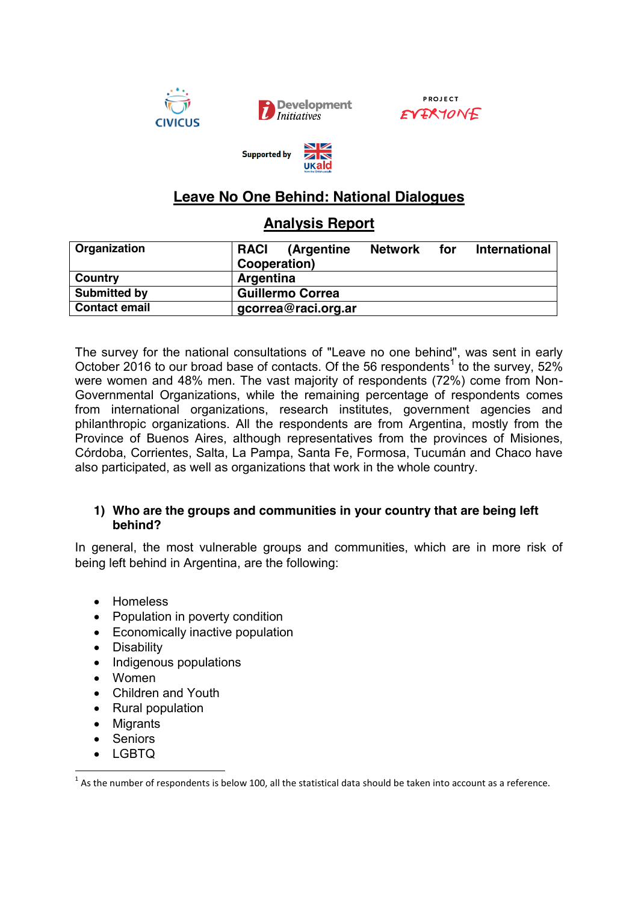







# **Leave No One Behind: National Dialogues**

# **Analysis Report**

| Organization         | <b>RACI</b><br>(Argentine | <b>Network</b> | for | <b>International</b> |
|----------------------|---------------------------|----------------|-----|----------------------|
|                      | Cooperation)              |                |     |                      |
| Country              | <b>Argentina</b>          |                |     |                      |
| Submitted by         | <b>Guillermo Correa</b>   |                |     |                      |
| <b>Contact email</b> | gcorrea@raci.org.ar       |                |     |                      |

The survey for the national consultations of "Leave no one behind", was sent in early October 2016 to our broad base of contacts. Of the 56 respondents<sup>1</sup> to the survey, 52% were women and 48% men. The vast majority of respondents (72%) come from Non-Governmental Organizations, while the remaining percentage of respondents comes from international organizations, research institutes, government agencies and philanthropic organizations. All the respondents are from Argentina, mostly from the Province of Buenos Aires, although representatives from the provinces of Misiones, Córdoba, Corrientes, Salta, La Pampa, Santa Fe, Formosa, Tucumán and Chaco have also participated, as well as organizations that work in the whole country.

## **1) Who are the groups and communities in your country that are being left behind?**

In general, the most vulnerable groups and communities, which are in more risk of being left behind in Argentina, are the following:

- Homeless
- Population in poverty condition
- Economically inactive population
- Disability
- Indigenous populations
- $\bullet$  Women
- Children and Youth
- Rural population
- Migrants
- Seniors
- LGBTQ

 $1$  As the number of respondents is below 100, all the statistical data should be taken into account as a reference.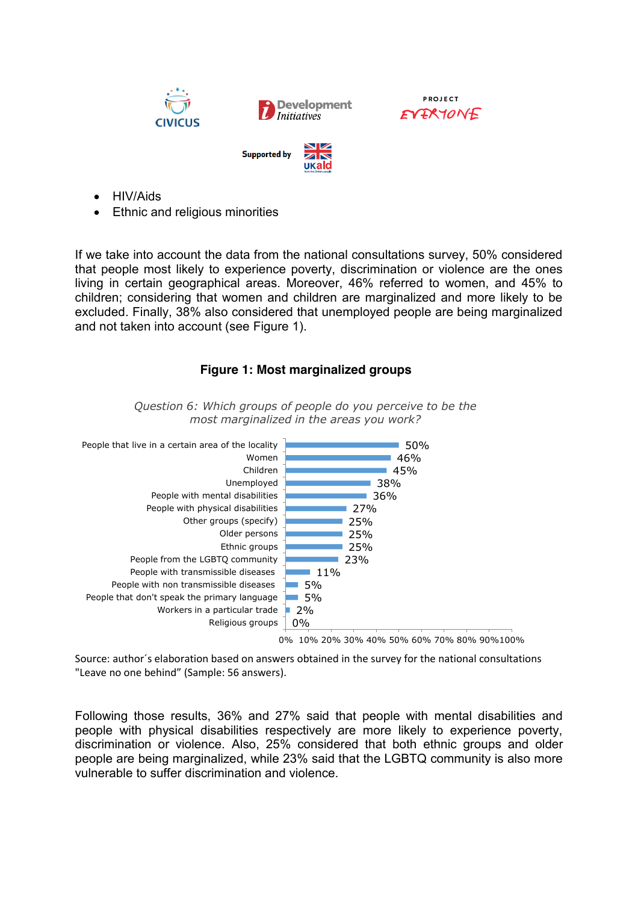





- x HIV/Aids
- Ethnic and religious minorities

If we take into account the data from the national consultations survey, 50% considered that people most likely to experience poverty, discrimination or violence are the ones living in certain geographical areas. Moreover, 46% referred to women, and 45% to children; considering that women and children are marginalized and more likely to be excluded. Finally, 38% also considered that unemployed people are being marginalized and not taken into account (see Figure 1).

# **Figure 1: Most marginalized groups**



*Question 6: Which groups of people do you perceive to be the most marginalized in the areas you work?*

Source: author´s elaboration based on answers obtained in the survey for the national consultations "Leave no one behind" (Sample: 56 answers).

Following those results, 36% and 27% said that people with mental disabilities and people with physical disabilities respectively are more likely to experience poverty, discrimination or violence. Also, 25% considered that both ethnic groups and older people are being marginalized, while 23% said that the LGBTQ community is also more vulnerable to suffer discrimination and violence.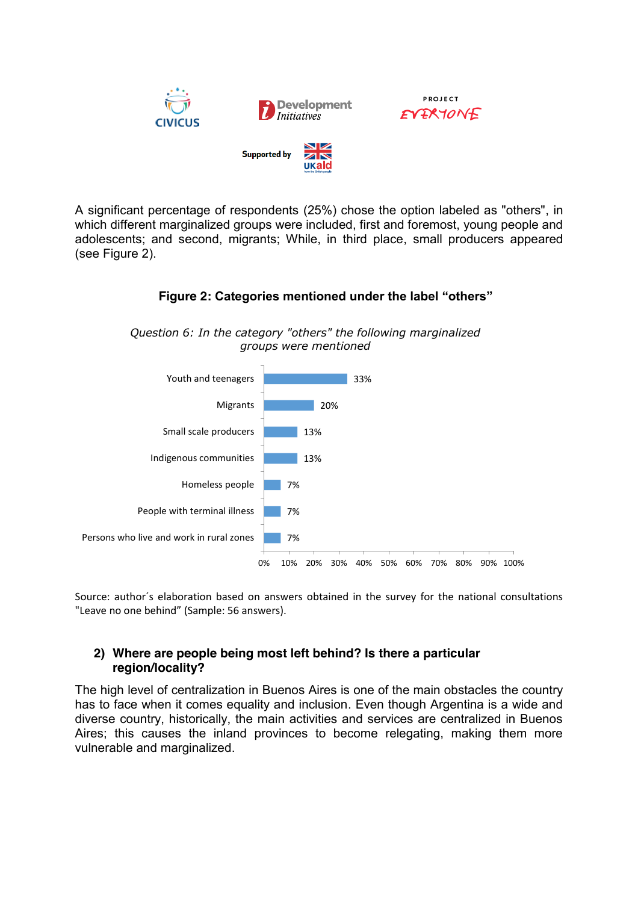

A significant percentage of respondents (25%) chose the option labeled as "others", in which different marginalized groups were included, first and foremost, young people and adolescents; and second, migrants; While, in third place, small producers appeared (see Figure 2).

#### 7% 7% 7% 13% 13% 20% 33% 0% 10% 20% 30% 40% 50% 60% 70% 80% 90% 100% Persons who live and work in rural zones People with terminal illness Homeless people Indigenous communities Small scale producers Migrants Youth and teenagers *groups were mentioned*

*Question 6: In the category "others" the following marginalized* 

 **Figure 2: Categories mentioned under the label "others"**

Source: author´s elaboration based on answers obtained in the survey for the national consultations "Leave no one behind" (Sample: 56 answers).

# **2) Where are people being most left behind? Is there a particular region/locality?**

The high level of centralization in Buenos Aires is one of the main obstacles the country has to face when it comes equality and inclusion. Even though Argentina is a wide and diverse country, historically, the main activities and services are centralized in Buenos Aires; this causes the inland provinces to become relegating, making them more vulnerable and marginalized.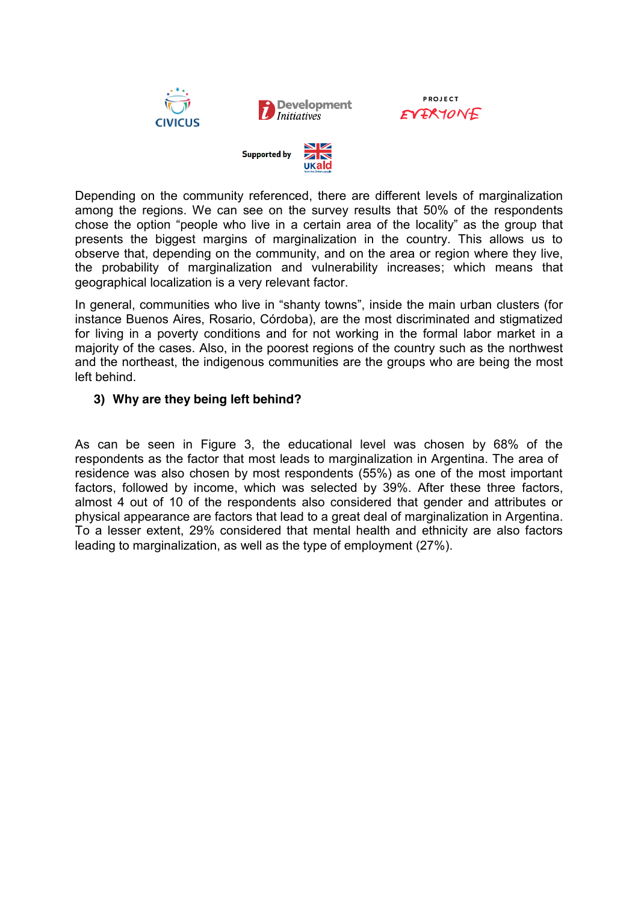

**PROJECT** EVERYONE



Depending on the community referenced, there are different levels of marginalization among the regions. We can see on the survey results that 50% of the respondents chose the option "people who live in a certain area of the locality" as the group that presents the biggest margins of marginalization in the country. This allows us to observe that, depending on the community, and on the area or region where they live, the probability of marginalization and vulnerability increases; which means that geographical localization is a very relevant factor.

In general, communities who live in "shanty towns", inside the main urban clusters (for instance Buenos Aires, Rosario, Córdoba), are the most discriminated and stigmatized for living in a poverty conditions and for not working in the formal labor market in a majority of the cases. Also, in the poorest regions of the country such as the northwest and the northeast, the indigenous communities are the groups who are being the most left behind.

## **3) Why are they being left behind?**

As can be seen in Figure 3, the educational level was chosen by 68% of the respondents as the factor that most leads to marginalization in Argentina. The area of residence was also chosen by most respondents (55%) as one of the most important factors, followed by income, which was selected by 39%. After these three factors, almost 4 out of 10 of the respondents also considered that gender and attributes or physical appearance are factors that lead to a great deal of marginalization in Argentina. To a lesser extent, 29% considered that mental health and ethnicity are also factors leading to marginalization, as well as the type of employment (27%).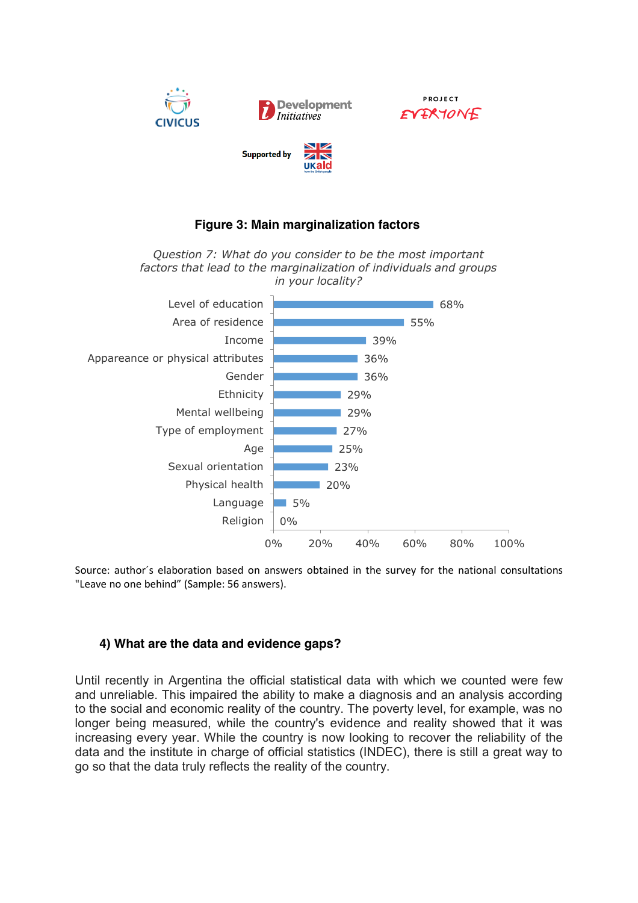

# **Figure 3: Main marginalization factors**

*Question 7: What do you consider to be the most important factors that lead to the marginalization of individuals and groups in your locality?*



Source: author´s elaboration based on answers obtained in the survey for the national consultations "Leave no one behind" (Sample: 56 answers).

# **4) What are the data and evidence gaps?**

Until recently in Argentina the official statistical data with which we counted were few and unreliable. This impaired the ability to make a diagnosis and an analysis according to the social and economic reality of the country. The poverty level, for example, was no longer being measured, while the country's evidence and reality showed that it was increasing every year. While the country is now looking to recover the reliability of the data and the institute in charge of official statistics (INDEC), there is still a great way to go so that the data truly reflects the reality of the country.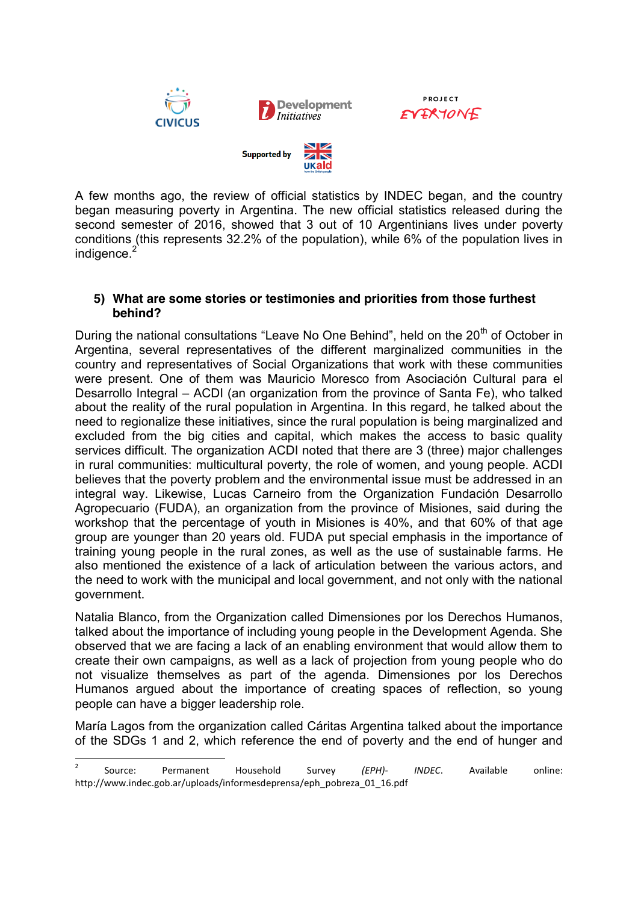

A few months ago, the review of official statistics by INDEC began, and the country began measuring poverty in Argentina. The new official statistics released during the second semester of 2016, showed that 3 out of 10 Argentinians lives under poverty conditions (this represents 32.2% of the population), while 6% of the population lives in indigence.<sup>2</sup>

**PROJECT** 

#### **5) What are some stories or testimonies and priorities from those furthest behind?**

During the national consultations "Leave No One Behind", held on the 20<sup>th</sup> of October in Argentina, several representatives of the different marginalized communities in the country and representatives of Social Organizations that work with these communities were present. One of them was Mauricio Moresco from Asociación Cultural para el Desarrollo Integral – ACDI (an organization from the province of Santa Fe), who talked about the reality of the rural population in Argentina. In this regard, he talked about the need to regionalize these initiatives, since the rural population is being marginalized and excluded from the big cities and capital, which makes the access to basic quality services difficult. The organization ACDI noted that there are 3 (three) major challenges in rural communities: multicultural poverty, the role of women, and young people. ACDI believes that the poverty problem and the environmental issue must be addressed in an integral way. Likewise, Lucas Carneiro from the Organization Fundación Desarrollo Agropecuario (FUDA), an organization from the province of Misiones, said during the workshop that the percentage of youth in Misiones is 40%, and that 60% of that age group are younger than 20 years old. FUDA put special emphasis in the importance of training young people in the rural zones, as well as the use of sustainable farms. He also mentioned the existence of a lack of articulation between the various actors, and the need to work with the municipal and local government, and not only with the national government.

Natalia Blanco, from the Organization called Dimensiones por los Derechos Humanos, talked about the importance of including young people in the Development Agenda. She observed that we are facing a lack of an enabling environment that would allow them to create their own campaigns, as well as a lack of projection from young people who do not visualize themselves as part of the agenda. Dimensiones por los Derechos Humanos argued about the importance of creating spaces of reflection, so young people can have a bigger leadership role.

María Lagos from the organization called Cáritas Argentina talked about the importance of the SDGs 1 and 2, which reference the end of poverty and the end of hunger and

 <sup>2</sup> Source: Permanent Household Survey *(EPH)- INDEC*. Available online: http://www.indec.gob.ar/uploads/informesdeprensa/eph\_pobreza\_01\_16.pdf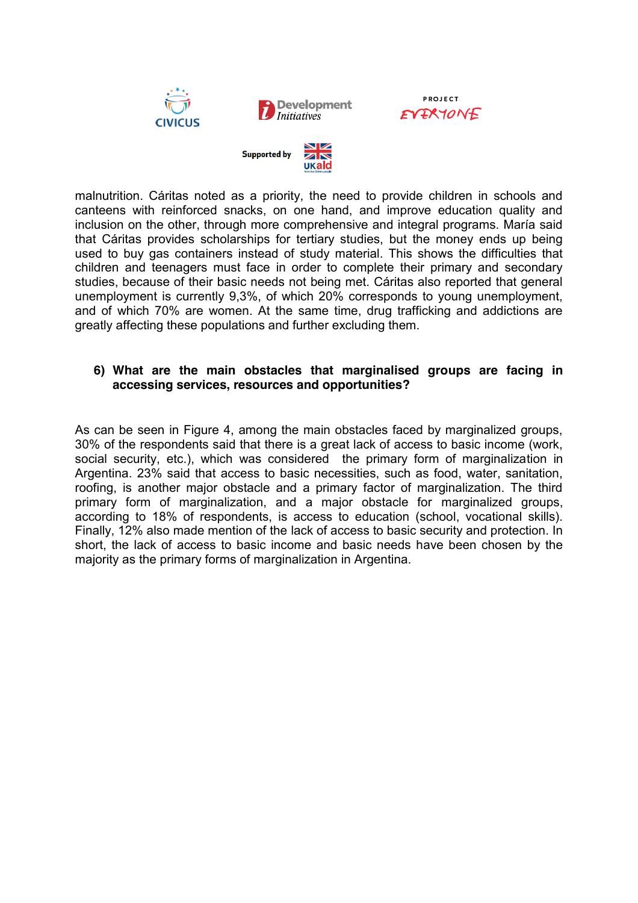





malnutrition. Cáritas noted as a priority, the need to provide children in schools and canteens with reinforced snacks, on one hand, and improve education quality and inclusion on the other, through more comprehensive and integral programs. María said that Cáritas provides scholarships for tertiary studies, but the money ends up being used to buy gas containers instead of study material. This shows the difficulties that children and teenagers must face in order to complete their primary and secondary studies, because of their basic needs not being met. Cáritas also reported that general unemployment is currently 9,3%, of which 20% corresponds to young unemployment, and of which 70% are women. At the same time, drug trafficking and addictions are greatly affecting these populations and further excluding them.

## **6) What are the main obstacles that marginalised groups are facing in accessing services, resources and opportunities?**

As can be seen in Figure 4, among the main obstacles faced by marginalized groups, 30% of the respondents said that there is a great lack of access to basic income (work, social security, etc.), which was considered the primary form of marginalization in Argentina. 23% said that access to basic necessities, such as food, water, sanitation, roofing, is another major obstacle and a primary factor of marginalization. The third primary form of marginalization, and a major obstacle for marginalized groups, according to 18% of respondents, is access to education (school, vocational skills). Finally, 12% also made mention of the lack of access to basic security and protection. In short, the lack of access to basic income and basic needs have been chosen by the majority as the primary forms of marginalization in Argentina.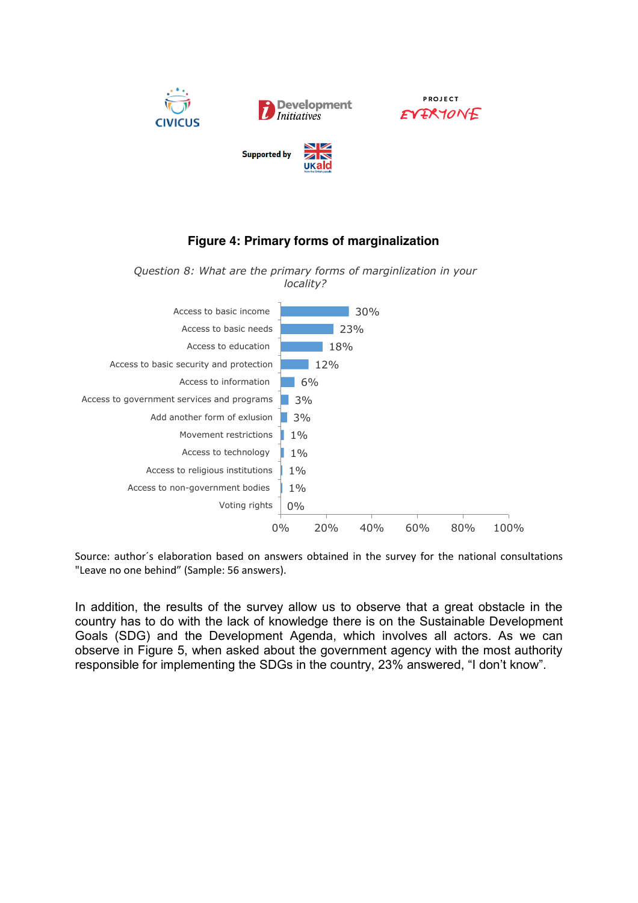

# **Figure 4: Primary forms of marginalization**

*Question 8: What are the primary forms of marginlization in your locality?* 



Source: author´s elaboration based on answers obtained in the survey for the national consultations "Leave no one behind" (Sample: 56 answers).

In addition, the results of the survey allow us to observe that a great obstacle in the country has to do with the lack of knowledge there is on the Sustainable Development Goals (SDG) and the Development Agenda, which involves all actors. As we can observe in Figure 5, when asked about the government agency with the most authority responsible for implementing the SDGs in the country, 23% answered, "I don't know".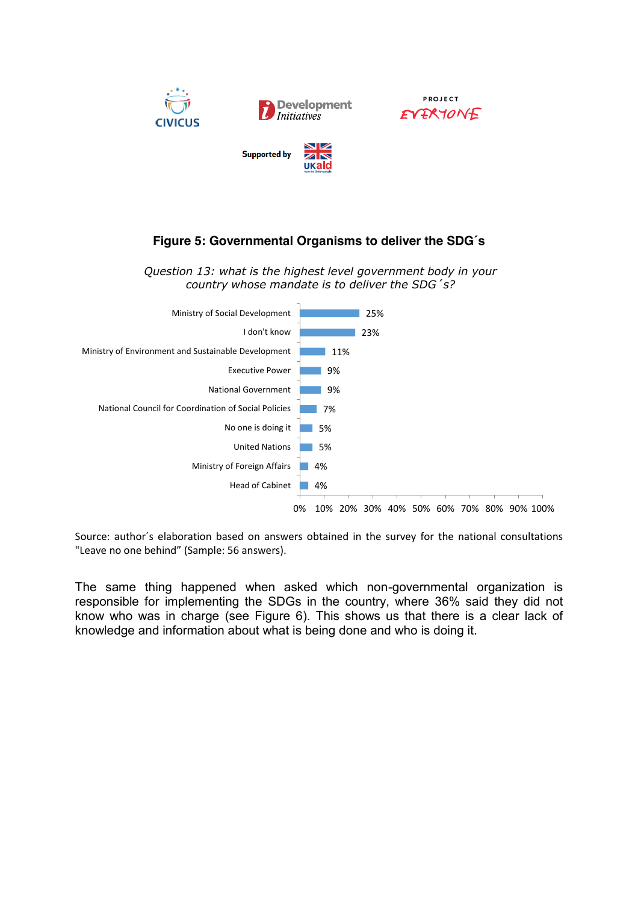

# **Figure 5: Governmental Organisms to deliver the SDG´s**

*Question 13: what is the highest level government body in your country whose mandate is to deliver the SDG´s?*



Source: author´s elaboration based on answers obtained in the survey for the national consultations "Leave no one behind" (Sample: 56 answers).

The same thing happened when asked which non-governmental organization is responsible for implementing the SDGs in the country, where 36% said they did not know who was in charge (see Figure 6). This shows us that there is a clear lack of knowledge and information about what is being done and who is doing it.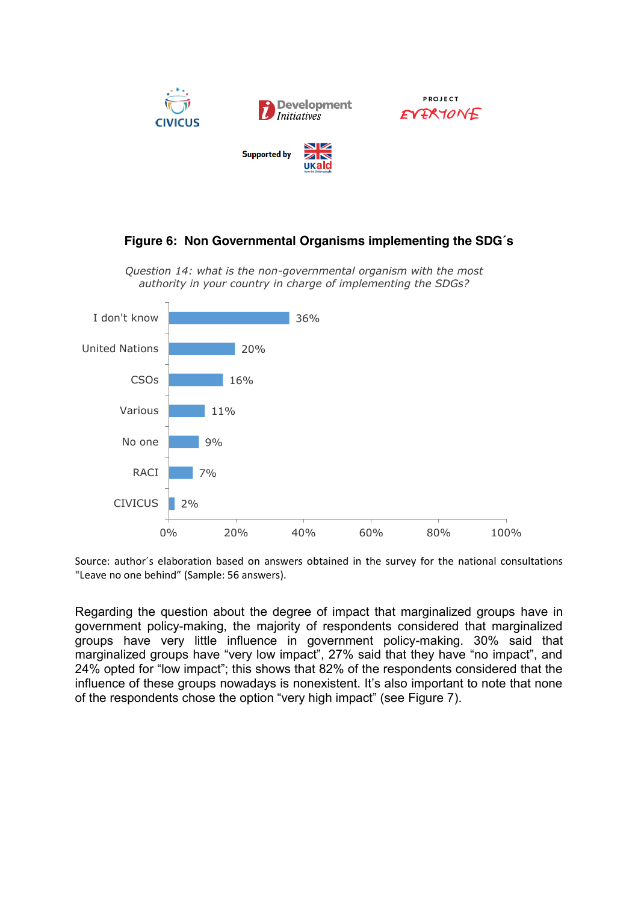

# **Figure 6: Non Governmental Organisms implementing the SDG´s**

*Question 14: what is the non-governmental organism with the most authority in your country in charge of implementing the SDGs?* 



Source: author´s elaboration based on answers obtained in the survey for the national consultations "Leave no one behind" (Sample: 56 answers).

Regarding the question about the degree of impact that marginalized groups have in government policy-making, the majority of respondents considered that marginalized groups have very little influence in government policy-making. 30% said that marginalized groups have "very low impact", 27% said that they have "no impact", and 24% opted for "low impact"; this shows that 82% of the respondents considered that the influence of these groups nowadays is nonexistent. It's also important to note that none of the respondents chose the option "very high impact" (see Figure 7).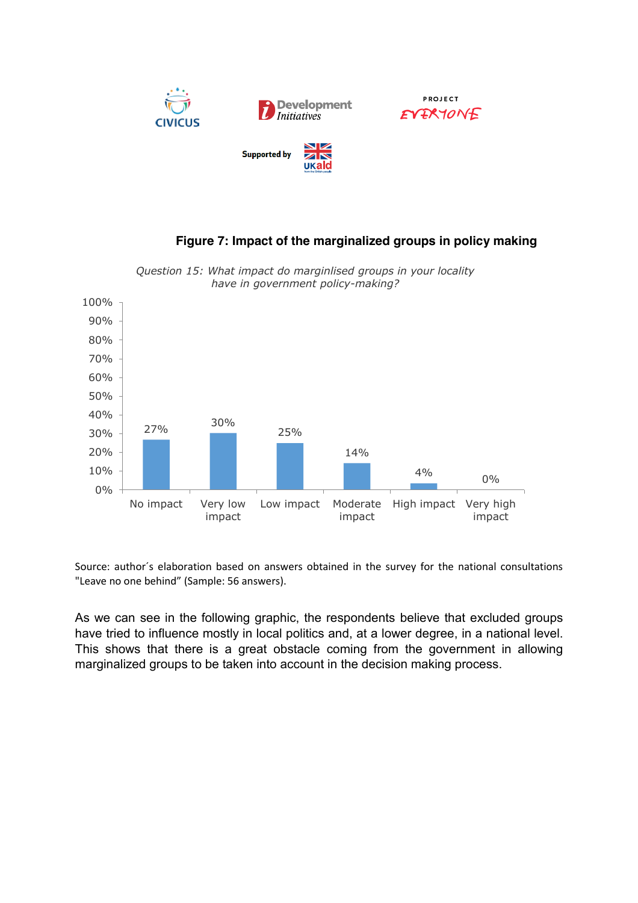

**Figure 7: Impact of the marginalized groups in policy making**

#### 27% 30% 25% 14%  $4\%$  0% 0% 10% 20% 30% 40% 50% 60% 70% 80% 90% 100% No impact Very low impact Low impact Moderate impact High impact Very high impact

*Question 15: What impact do marginlised groups in your locality have in government policy-making?*

Source: author´s elaboration based on answers obtained in the survey for the national consultations "Leave no one behind" (Sample: 56 answers).

As we can see in the following graphic, the respondents believe that excluded groups have tried to influence mostly in local politics and, at a lower degree, in a national level. This shows that there is a great obstacle coming from the government in allowing marginalized groups to be taken into account in the decision making process.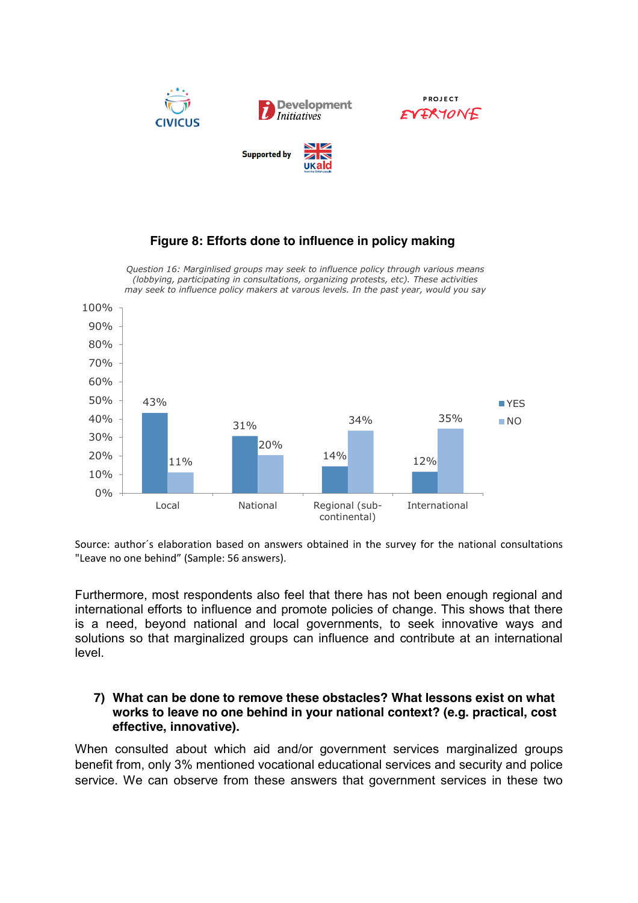

# **Figure 8: Efforts done to influence in policy making**

*Question 16: Marginlised groups may seek to influence policy through various means (lobbying, participating in consultations, organizing protests, etc). These activities may seek to influence policy makers at varous levels. In the past year, would you say*



Source: author´s elaboration based on answers obtained in the survey for the national consultations "Leave no one behind" (Sample: 56 answers).

Furthermore, most respondents also feel that there has not been enough regional and international efforts to influence and promote policies of change. This shows that there is a need, beyond national and local governments, to seek innovative ways and solutions so that marginalized groups can influence and contribute at an international level.

#### **7) What can be done to remove these obstacles? What lessons exist on what works to leave no one behind in your national context? (e.g. practical, cost effective, innovative).**

When consulted about which aid and/or government services marginalized groups benefit from, only 3% mentioned vocational educational services and security and police service. We can observe from these answers that government services in these two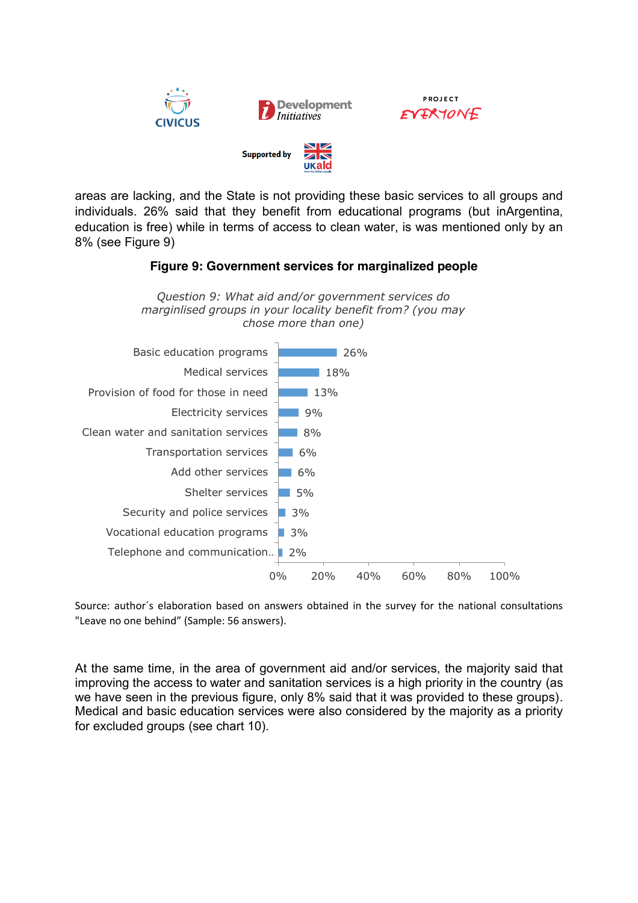

areas are lacking, and the State is not providing these basic services to all groups and individuals. 26% said that they benefit from educational programs (but inArgentina, education is free) while in terms of access to clean water, is was mentioned only by an 8% (see Figure 9)

## **Figure 9: Government services for marginalized people**



Source: author´s elaboration based on answers obtained in the survey for the national consultations "Leave no one behind" (Sample: 56 answers).

At the same time, in the area of government aid and/or services, the majority said that improving the access to water and sanitation services is a high priority in the country (as we have seen in the previous figure, only 8% said that it was provided to these groups). Medical and basic education services were also considered by the majority as a priority for excluded groups (see chart 10).

*Question 9: What aid and/or government services do marginlised groups in your locality benefit from? (you may*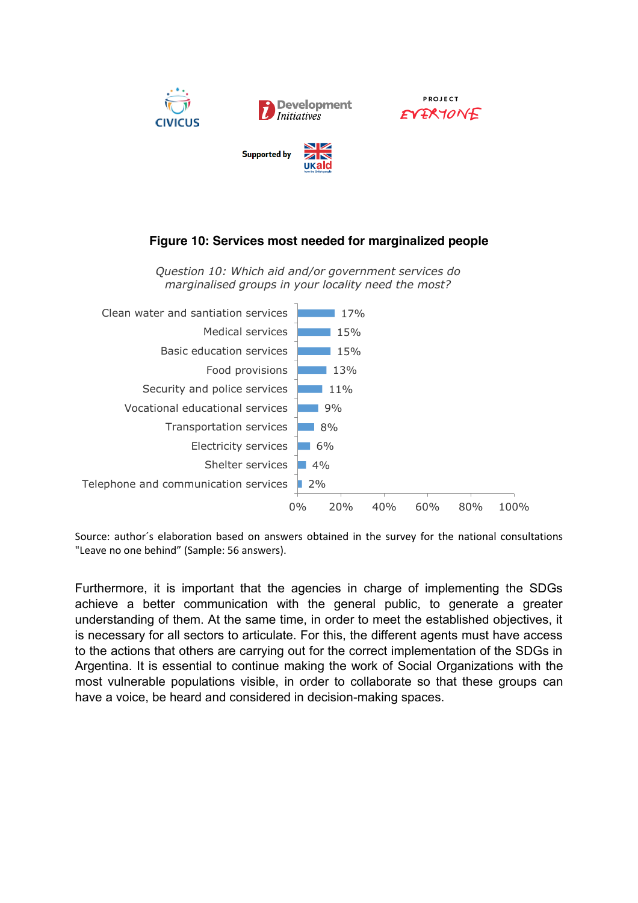

# **Figure 10: Services most needed for marginalized people**

*Question 10: Which aid and/or government services do marginalised groups in your locality need the most?*



Source: author´s elaboration based on answers obtained in the survey for the national consultations "Leave no one behind" (Sample: 56 answers).

Furthermore, it is important that the agencies in charge of implementing the SDGs achieve a better communication with the general public, to generate a greater understanding of them. At the same time, in order to meet the established objectives, it is necessary for all sectors to articulate. For this, the different agents must have access to the actions that others are carrying out for the correct implementation of the SDGs in Argentina. It is essential to continue making the work of Social Organizations with the most vulnerable populations visible, in order to collaborate so that these groups can have a voice, be heard and considered in decision-making spaces.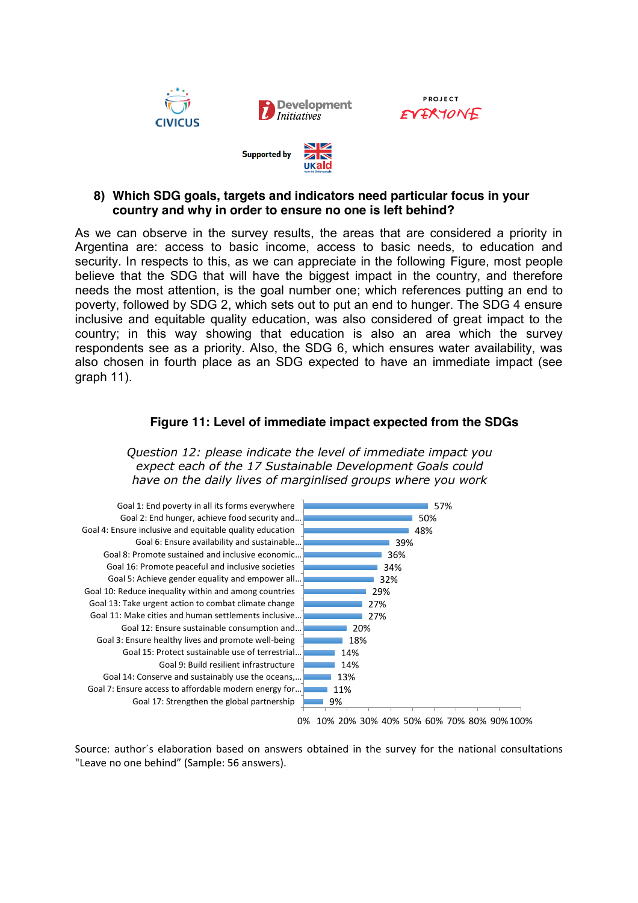





As we can observe in the survey results, the areas that are considered a priority in Argentina are: access to basic income, access to basic needs, to education and security. In respects to this, as we can appreciate in the following Figure, most people believe that the SDG that will have the biggest impact in the country, and therefore needs the most attention, is the goal number one; which references putting an end to poverty, followed by SDG 2, which sets out to put an end to hunger. The SDG 4 ensure inclusive and equitable quality education, was also considered of great impact to the country; in this way showing that education is also an area which the survey respondents see as a priority. Also, the SDG 6, which ensures water availability, was also chosen in fourth place as an SDG expected to have an immediate impact (see graph 11).

#### **Figure 11: Level of immediate impact expected from the SDGs**

*Question 12: please indicate the level of immediate impact you expect each of the 17 Sustainable Development Goals could have on the daily lives of marginlised groups where you work* 



Source: author´s elaboration based on answers obtained in the survey for the national consultations "Leave no one behind" (Sample: 56 answers).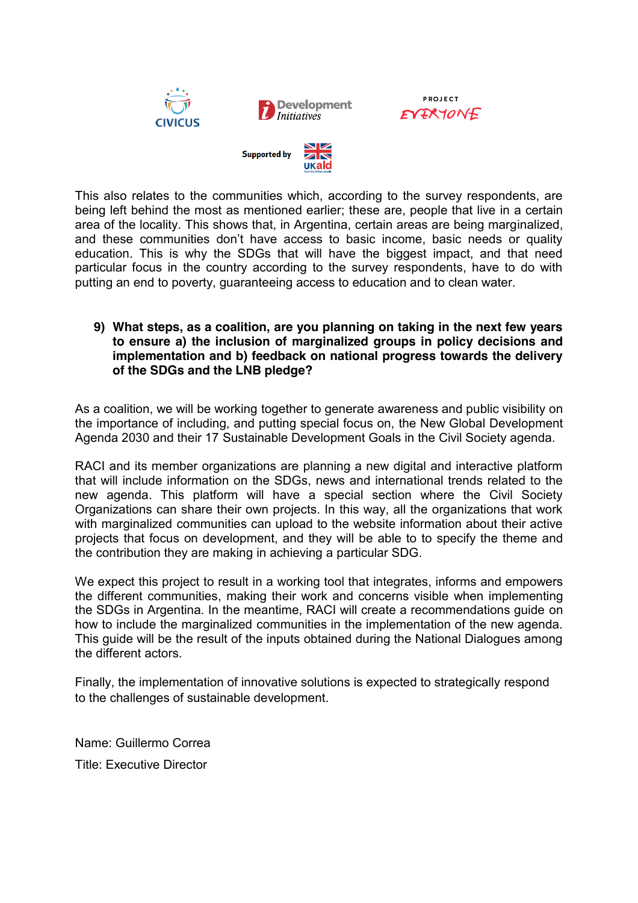

**PROJECT** EVERYONE



This also relates to the communities which, according to the survey respondents, are being left behind the most as mentioned earlier; these are, people that live in a certain area of the locality. This shows that, in Argentina, certain areas are being marginalized, and these communities don't have access to basic income, basic needs or quality education. This is why the SDGs that will have the biggest impact, and that need particular focus in the country according to the survey respondents, have to do with putting an end to poverty, guaranteeing access to education and to clean water.

## **9) What steps, as a coalition, are you planning on taking in the next few years to ensure a) the inclusion of marginalized groups in policy decisions and implementation and b) feedback on national progress towards the delivery of the SDGs and the LNB pledge?**

As a coalition, we will be working together to generate awareness and public visibility on the importance of including, and putting special focus on, the New Global Development Agenda 2030 and their 17 Sustainable Development Goals in the Civil Society agenda.

RACI and its member organizations are planning a new digital and interactive platform that will include information on the SDGs, news and international trends related to the new agenda. This platform will have a special section where the Civil Society Organizations can share their own projects. In this way, all the organizations that work with marginalized communities can upload to the website information about their active projects that focus on development, and they will be able to to specify the theme and the contribution they are making in achieving a particular SDG.

We expect this project to result in a working tool that integrates, informs and empowers the different communities, making their work and concerns visible when implementing the SDGs in Argentina. In the meantime, RACI will create a recommendations guide on how to include the marginalized communities in the implementation of the new agenda. This guide will be the result of the inputs obtained during the National Dialogues among the different actors.

Finally, the implementation of innovative solutions is expected to strategically respond to the challenges of sustainable development.

Name: Guillermo Correa Title: Executive Director